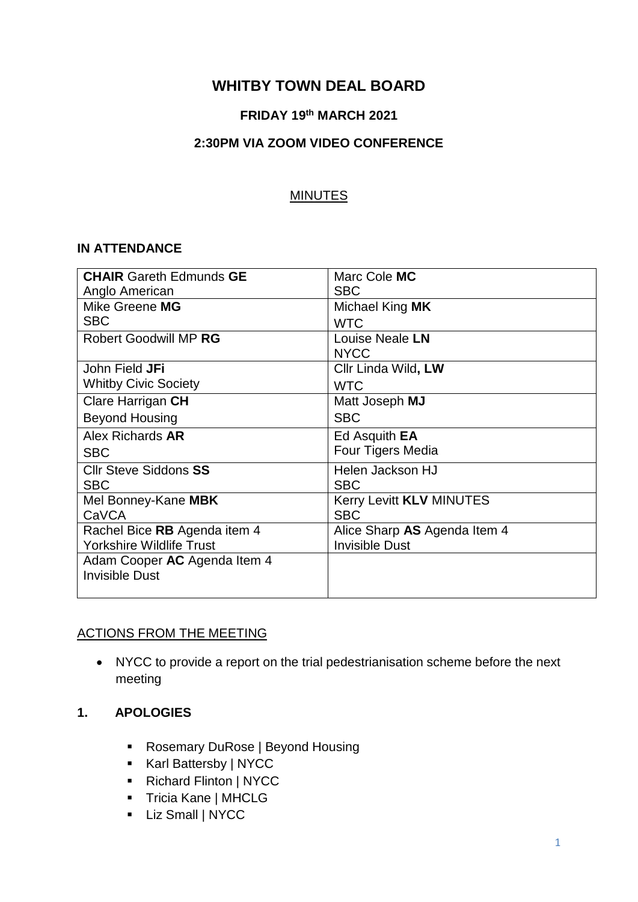# **WHITBY TOWN DEAL BOARD**

### **FRIDAY 19 th MARCH 2021**

#### **2:30PM VIA ZOOM VIDEO CONFERENCE**

#### MINUTES

#### **IN ATTENDANCE**

| <b>CHAIR Gareth Edmunds GE</b>  | Marc Cole MC                    |
|---------------------------------|---------------------------------|
| Anglo American                  | <b>SBC</b>                      |
| Mike Greene MG                  | Michael King MK                 |
| <b>SBC</b>                      | <b>WTC</b>                      |
| <b>Robert Goodwill MP RG</b>    | Louise Neale LN                 |
|                                 | <b>NYCC</b>                     |
| John Field <b>JFi</b>           | Cllr Linda Wild, LW             |
| <b>Whitby Civic Society</b>     | <b>WTC</b>                      |
| Clare Harrigan CH               | Matt Joseph MJ                  |
| <b>Beyond Housing</b>           | <b>SBC</b>                      |
| Alex Richards AR                | Ed Asquith <b>EA</b>            |
| <b>SBC</b>                      | Four Tigers Media               |
| <b>Cllr Steve Siddons SS</b>    | Helen Jackson HJ                |
| <b>SBC</b>                      | <b>SBC</b>                      |
| Mel Bonney-Kane MBK             | <b>Kerry Levitt KLV MINUTES</b> |
| CaVCA                           | <b>SBC</b>                      |
| Rachel Bice RB Agenda item 4    | Alice Sharp AS Agenda Item 4    |
| <b>Yorkshire Wildlife Trust</b> | <b>Invisible Dust</b>           |
| Adam Cooper AC Agenda Item 4    |                                 |
| Invisible Dust                  |                                 |
|                                 |                                 |

### ACTIONS FROM THE MEETING

 NYCC to provide a report on the trial pedestrianisation scheme before the next meeting

# **1. APOLOGIES**

- Rosemary DuRose | Beyond Housing
- Karl Battersby | NYCC
- Richard Flinton | NYCC
- **Tricia Kane | MHCLG**
- **Liz Small | NYCC**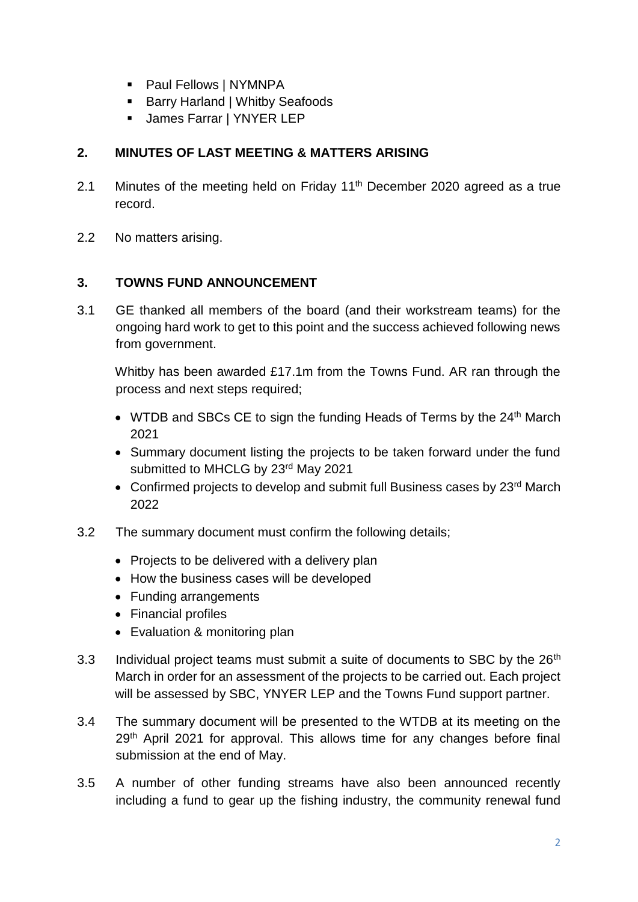- Paul Fellows | NYMNPA
- Barry Harland | Whitby Seafoods
- **James Farrar | YNYER LEP**

## **2. MINUTES OF LAST MEETING & MATTERS ARISING**

- 2.1 Minutes of the meeting held on Friday  $11<sup>th</sup>$  December 2020 agreed as a true record.
- 2.2 No matters arising.

### **3. TOWNS FUND ANNOUNCEMENT**

3.1 GE thanked all members of the board (and their workstream teams) for the ongoing hard work to get to this point and the success achieved following news from government.

Whitby has been awarded £17.1m from the Towns Fund. AR ran through the process and next steps required;

- WTDB and SBCs CE to sign the funding Heads of Terms by the  $24<sup>th</sup>$  March 2021
- Summary document listing the projects to be taken forward under the fund submitted to MHCLG by 23<sup>rd</sup> May 2021
- Confirmed projects to develop and submit full Business cases by 23<sup>rd</sup> March 2022
- 3.2 The summary document must confirm the following details;
	- Projects to be delivered with a delivery plan
	- How the business cases will be developed
	- Funding arrangements
	- Financial profiles
	- Evaluation & monitoring plan
- 3.3 Individual project teams must submit a suite of documents to SBC by the 26<sup>th</sup> March in order for an assessment of the projects to be carried out. Each project will be assessed by SBC, YNYER LEP and the Towns Fund support partner.
- 3.4 The summary document will be presented to the WTDB at its meeting on the 29<sup>th</sup> April 2021 for approval. This allows time for any changes before final submission at the end of May.
- 3.5 A number of other funding streams have also been announced recently including a fund to gear up the fishing industry, the community renewal fund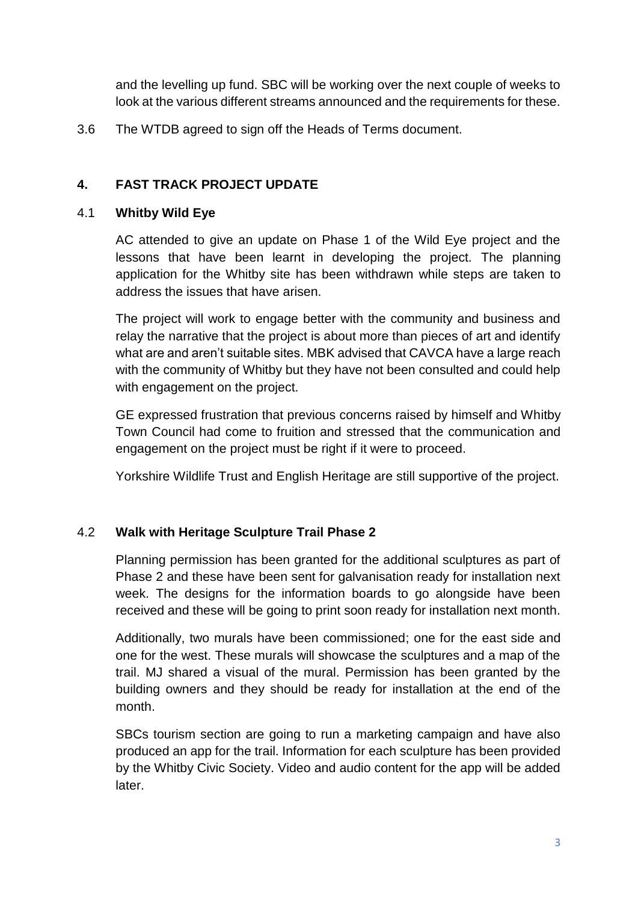and the levelling up fund. SBC will be working over the next couple of weeks to look at the various different streams announced and the requirements for these.

3.6 The WTDB agreed to sign off the Heads of Terms document.

## **4. FAST TRACK PROJECT UPDATE**

#### 4.1 **Whitby Wild Eye**

AC attended to give an update on Phase 1 of the Wild Eye project and the lessons that have been learnt in developing the project. The planning application for the Whitby site has been withdrawn while steps are taken to address the issues that have arisen.

The project will work to engage better with the community and business and relay the narrative that the project is about more than pieces of art and identify what are and aren't suitable sites. MBK advised that CAVCA have a large reach with the community of Whitby but they have not been consulted and could help with engagement on the project.

GE expressed frustration that previous concerns raised by himself and Whitby Town Council had come to fruition and stressed that the communication and engagement on the project must be right if it were to proceed.

Yorkshire Wildlife Trust and English Heritage are still supportive of the project.

### 4.2 **Walk with Heritage Sculpture Trail Phase 2**

Planning permission has been granted for the additional sculptures as part of Phase 2 and these have been sent for galvanisation ready for installation next week. The designs for the information boards to go alongside have been received and these will be going to print soon ready for installation next month.

Additionally, two murals have been commissioned; one for the east side and one for the west. These murals will showcase the sculptures and a map of the trail. MJ shared a visual of the mural. Permission has been granted by the building owners and they should be ready for installation at the end of the month.

SBCs tourism section are going to run a marketing campaign and have also produced an app for the trail. Information for each sculpture has been provided by the Whitby Civic Society. Video and audio content for the app will be added later.